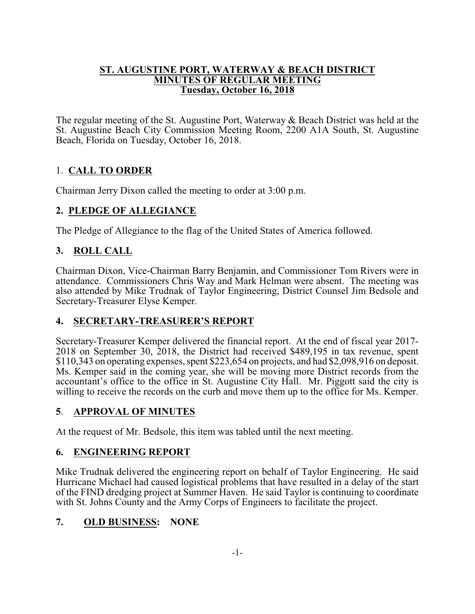#### **ST. AUGUSTINE PORT, WATERWAY & BEACH DISTRICT MINUTES OF REGULAR MEETING Tuesday, October 16, 2018**

The regular meeting of the St. Augustine Port, Waterway & Beach District was held at the St. Augustine Beach City Commission Meeting Room, 2200 A1A South, St. Augustine Beach, Florida on Tuesday, October 16, 2018.

# 1. **CALL TO ORDER**

Chairman Jerry Dixon called the meeting to order at 3:00 p.m.

# **2. PLEDGE OF ALLEGIANCE**

The Pledge of Allegiance to the flag of the United States of America followed.

# **3. ROLL CALL**

Chairman Dixon, Vice-Chairman Barry Benjamin, and Commissioner Tom Rivers were in attendance. Commissioners Chris Way and Mark Helman were absent. The meeting was also attended by Mike Trudnak of Taylor Engineering, District Counsel Jim Bedsole and Secretary-Treasurer Elyse Kemper.

# **4. SECRETARY-TREASURER'S REPORT**

Secretary-Treasurer Kemper delivered the financial report. At the end of fiscal year 2017- 2018 on September 30, 2018, the District had received \$489,195 in tax revenue, spent \$110,343 on operating expenses, spent \$223,654 on projects, and had \$2,098,916 on deposit. Ms. Kemper said in the coming year, she will be moving more District records from the accountant's office to the office in St. Augustine City Hall. Mr. Piggott said the city is willing to receive the records on the curb and move them up to the office for Ms. Kemper.

### **5**. **APPROVAL OF MINUTES**

At the request of Mr. Bedsole, this item was tabled until the next meeting.

### **6. ENGINEERING REPORT**

Mike Trudnak delivered the engineering report on behalf of Taylor Engineering. He said Hurricane Michael had caused logistical problems that have resulted in a delay of the start of the FIND dredging project at Summer Haven. He said Taylor is continuing to coordinate with St. Johns County and the Army Corps of Engineers to facilitate the project.

# **7. OLD BUSINESS: NONE**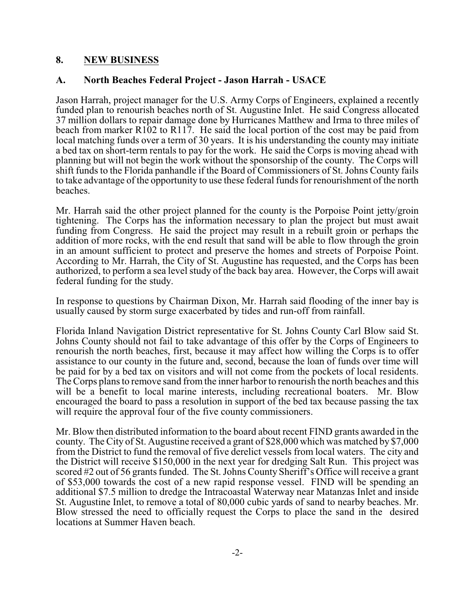### **8. NEW BUSINESS**

#### **A. North Beaches Federal Project - Jason Harrah - USACE**

Jason Harrah, project manager for the U.S. Army Corps of Engineers, explained a recently funded plan to renourish beaches north of St. Augustine Inlet. He said Congress allocated 37 million dollars to repair damage done by Hurricanes Matthew and Irma to three miles of beach from marker R102 to R117. He said the local portion of the cost may be paid from local matching funds over a term of 30 years. It is his understanding the county may initiate a bed tax on short-term rentals to pay for the work. He said the Corps is moving ahead with planning but will not begin the work without the sponsorship of the county. The Corps will shift funds to the Florida panhandle if the Board of Commissioners of St. Johns County fails to take advantage of the opportunity to use these federal funds for renourishment of the north beaches.

Mr. Harrah said the other project planned for the county is the Porpoise Point jetty/groin tightening. The Corps has the information necessary to plan the project but must await funding from Congress. He said the project may result in a rebuilt groin or perhaps the addition of more rocks, with the end result that sand will be able to flow through the groin in an amount sufficient to protect and preserve the homes and streets of Porpoise Point. According to Mr. Harrah, the City of St. Augustine has requested, and the Corps has been authorized, to perform a sea level study of the back bay area. However, the Corps will await federal funding for the study.

In response to questions by Chairman Dixon, Mr. Harrah said flooding of the inner bay is usually caused by storm surge exacerbated by tides and run-off from rainfall.

Florida Inland Navigation District representative for St. Johns County Carl Blow said St. Johns County should not fail to take advantage of this offer by the Corps of Engineers to renourish the north beaches, first, because it may affect how willing the Corps is to offer assistance to our county in the future and, second, because the loan of funds over time will be paid for by a bed tax on visitors and will not come from the pockets of local residents. The Corps plans to remove sand from the inner harbor to renourish the north beaches and this will be a benefit to local marine interests, including recreational boaters. Mr. Blow encouraged the board to pass a resolution in support of the bed tax because passing the tax will require the approval four of the five county commissioners.

Mr. Blow then distributed information to the board about recent FIND grants awarded in the county. The City of St. Augustine received a grant of \$28,000 which was matched by \$7,000 from the District to fund the removal of five derelict vessels from local waters. The city and the District will receive \$150,000 in the next year for dredging Salt Run. This project was scored #2 out of 56 grants funded. The St. Johns County Sheriff's Office will receive a grant of \$53,000 towards the cost of a new rapid response vessel. FIND will be spending an additional \$7.5 million to dredge the Intracoastal Waterway near Matanzas Inlet and inside St. Augustine Inlet, to remove a total of 80,000 cubic yards of sand to nearby beaches. Mr. Blow stressed the need to officially request the Corps to place the sand in the desired locations at Summer Haven beach.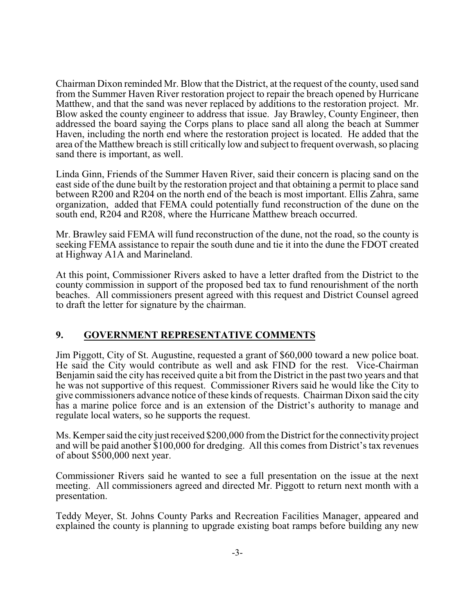Chairman Dixon reminded Mr. Blow that the District, at the request of the county, used sand from the Summer Haven River restoration project to repair the breach opened by Hurricane Matthew, and that the sand was never replaced by additions to the restoration project. Mr. Blow asked the county engineer to address that issue. Jay Brawley, County Engineer, then addressed the board saying the Corps plans to place sand all along the beach at Summer Haven, including the north end where the restoration project is located. He added that the area of the Matthew breach is still critically low and subject to frequent overwash, so placing sand there is important, as well.

Linda Ginn, Friends of the Summer Haven River, said their concern is placing sand on the east side of the dune built by the restoration project and that obtaining a permit to place sand between R200 and R204 on the north end of the beach is most important. Ellis Zahra, same organization, added that FEMA could potentially fund reconstruction of the dune on the south end, R204 and R208, where the Hurricane Matthew breach occurred.

Mr. Brawley said FEMA will fund reconstruction of the dune, not the road, so the county is seeking FEMA assistance to repair the south dune and tie it into the dune the FDOT created at Highway A1A and Marineland.

At this point, Commissioner Rivers asked to have a letter drafted from the District to the county commission in support of the proposed bed tax to fund renourishment of the north beaches. All commissioners present agreed with this request and District Counsel agreed to draft the letter for signature by the chairman.

### **9. GOVERNMENT REPRESENTATIVE COMMENTS**

Jim Piggott, City of St. Augustine, requested a grant of \$60,000 toward a new police boat. He said the City would contribute as well and ask FIND for the rest. Vice-Chairman Benjamin said the city has received quite a bit from the District in the past two years and that he was not supportive of this request. Commissioner Rivers said he would like the City to give commissioners advance notice of these kinds of requests. Chairman Dixon said the city has a marine police force and is an extension of the District's authority to manage and regulate local waters, so he supports the request.

Ms. Kemper said the city just received \$200,000 from the District for the connectivity project and will be paid another \$100,000 for dredging. All this comes from District's tax revenues of about \$500,000 next year.

Commissioner Rivers said he wanted to see a full presentation on the issue at the next meeting. All commissioners agreed and directed Mr. Piggott to return next month with a presentation.

Teddy Meyer, St. Johns County Parks and Recreation Facilities Manager, appeared and explained the county is planning to upgrade existing boat ramps before building any new